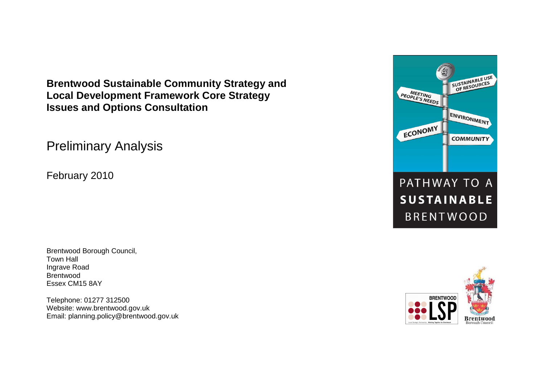**Brentwood Sustainable Community Strategy and Local Development Framework Core Strategy Issues and Options Consultation** 

Preliminary Analysis

February 2010

Brentwood Borough Council, Town Hall Ingrave Road Brentwood Essex CM15 8AY

Telephone: 01277 312500 Website: www.brentwood.gov.uk Email: planning.policy@brentwood.gov.uk



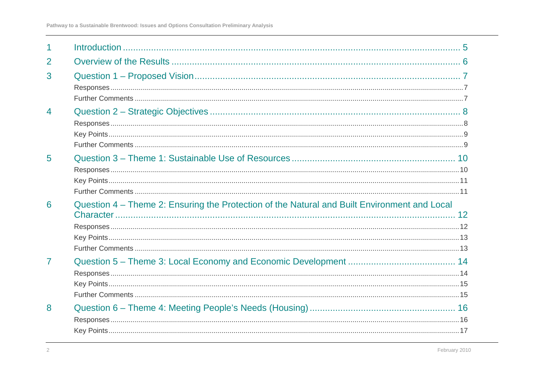| 1              |                                                                                              |
|----------------|----------------------------------------------------------------------------------------------|
| 2              |                                                                                              |
| 3              |                                                                                              |
| $\overline{4}$ |                                                                                              |
| $5\phantom{1}$ |                                                                                              |
| 6              | Question 4 – Theme 2: Ensuring the Protection of the Natural and Built Environment and Local |
| $\overline{7}$ |                                                                                              |
| 8              |                                                                                              |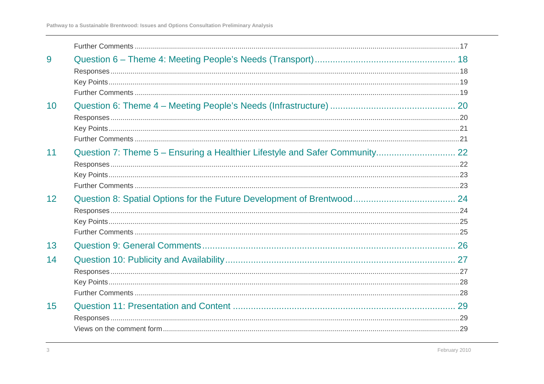| 9  |  |
|----|--|
|    |  |
|    |  |
|    |  |
| 10 |  |
|    |  |
|    |  |
|    |  |
| 11 |  |
|    |  |
|    |  |
|    |  |
| 12 |  |
|    |  |
|    |  |
|    |  |
| 13 |  |
| 14 |  |
|    |  |
|    |  |
|    |  |
| 15 |  |
|    |  |
|    |  |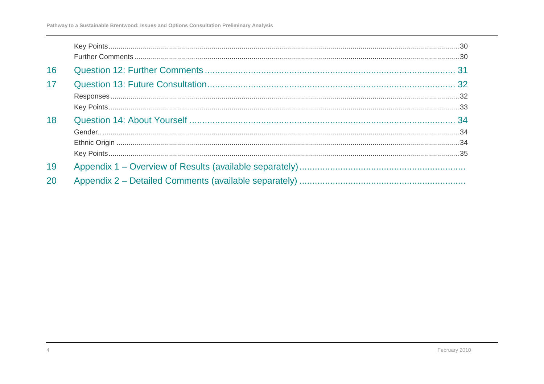| 16 |  |
|----|--|
| 17 |  |
|    |  |
|    |  |
| 18 |  |
|    |  |
|    |  |
|    |  |
| 19 |  |
| 20 |  |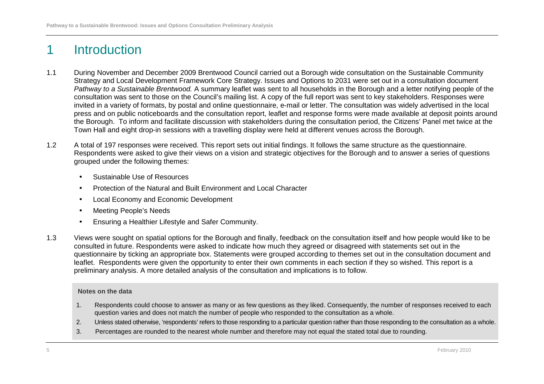# 1 Introduction

- 1.1 During November and December 2009 Brentwood Council carried out a Borough wide consultation on the Sustainable Community Strategy and Local Development Framework Core Strategy. Issues and Options to 2031 were set out in a consultation document Pathway to a Sustainable Brentwood. A summary leaflet was sent to all households in the Borough and a letter notifying people of the consultation was sent to those on the Council's mailing list. A copy of the full report was sent to key stakeholders. Responses were invited in a variety of formats, by postal and online questionnaire, e-mail or letter. The consultation was widely advertised in the local press and on public noticeboards and the consultation report, leaflet and response forms were made available at deposit points around the Borough. To inform and facilitate discussion with stakeholders during the consultation period, the Citizens' Panel met twice at the Town Hall and eight drop-in sessions with a travelling display were held at different venues across the Borough.
- 1.2 A total of 197 responses were received. This report sets out initial findings. It follows the same structure as the questionnaire. Respondents were asked to give their views on a vision and strategic objectives for the Borough and to answer a series of questions grouped under the following themes:
	- Sustainable Use of Resources
	- Protection of the Natural and Built Environment and Local Character
	- Local Economy and Economic Development
	- Meeting People's Needs
	- Ensuring a Healthier Lifestyle and Safer Community.
- 1.3 Views were sought on spatial options for the Borough and finally, feedback on the consultation itself and how people would like to be consulted in future. Respondents were asked to indicate how much they agreed or disagreed with statements set out in the questionnaire by ticking an appropriate box. Statements were grouped according to themes set out in the consultation document and leaflet. Respondents were given the opportunity to enter their own comments in each section if they so wished. This report is a preliminary analysis. A more detailed analysis of the consultation and implications is to follow.

#### **Notes on the data**

- 1. Respondents could choose to answer as many or as few questions as they liked. Consequently, the number of responses received to each question varies and does not match the number of people who responded to the consultation as a whole.
- 2. Unless stated otherwise, 'respondents' refers to those responding to a particular question rather than those responding to the consultation as a whole.
- 3. Percentages are rounded to the nearest whole number and therefore may not equal the stated total due to rounding.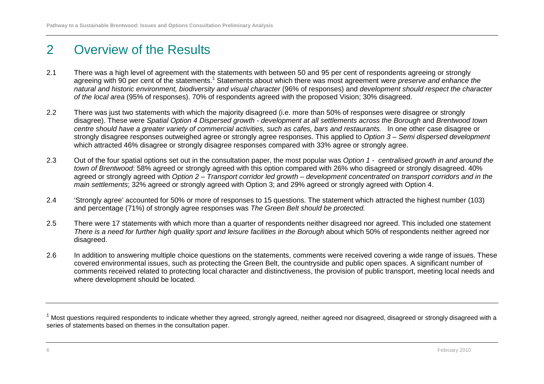# 2 Overview of the Results

- 2.1 There was a high level of agreement with the statements with between 50 and 95 per cent of respondents agreeing or strongly agreeing with 90 per cent of the statements.<sup>1</sup> Statements about which there was most agreement were *preserve and enhance the*  natural and historic environment, biodiversity and visual character (96% of responses) and development should respect the character of the local area (95% of responses). 70% of respondents agreed with the proposed Vision; 30% disagreed.
- 2.2 There was just two statements with which the majority disagreed (i.e. more than 50% of responses were disagree or strongly disagree). These were Spatial Option 4 Dispersed growth - development at all settlements across the Borough and Brentwood town centre should have a greater variety of commercial activities, such as cafes, bars and restaurants. In one other case disagree or strongly disagree responses outweighed agree or strongly agree responses. This applied to Option 3 – Semi dispersed development which attracted 46% disagree or strongly disagree responses compared with 33% agree or strongly agree.
- 2.3 Out of the four spatial options set out in the consultation paper, the most popular was Option 1 centralised growth in and around the town of Brentwood: 58% agreed or strongly agreed with this option compared with 26% who disagreed or strongly disagreed. 40% agreed or strongly agreed with Option 2 – Transport corridor led growth – development concentrated on transport corridors and in the main settlements; 32% agreed or strongly agreed with Option 3; and 29% agreed or strongly agreed with Option 4.
- 2.4 'Strongly agree' accounted for 50% or more of responses to 15 questions. The statement which attracted the highest number (103) and percentage (71%) of strongly agree responses was The Green Belt should be protected.
- 2.5 There were 17 statements with which more than a quarter of respondents neither disagreed nor agreed. This included one statement There is a need for further high quality sport and leisure facilities in the Borough about which 50% of respondents neither agreed nor disagreed.
- 2.6 In addition to answering multiple choice questions on the statements, comments were received covering a wide range of issues. These covered environmental issues, such as protecting the Green Belt, the countryside and public open spaces. A significant number of comments received related to protecting local character and distinctiveness, the provision of public transport, meeting local needs and where development should be located.

 $^1$  Most questions required respondents to indicate whether they agreed, strongly agreed, neither agreed nor disagreed, disagreed or strongly disagreed with a series of statements based on themes in the consultation paper.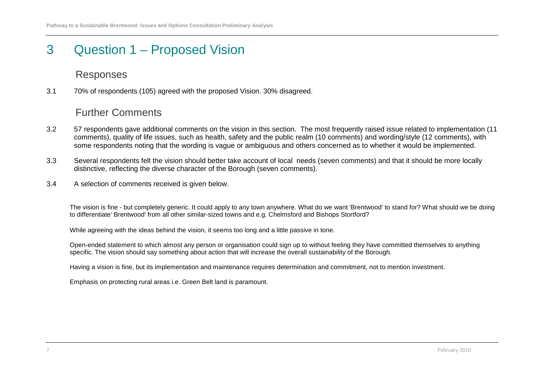# 3 Question 1 – Proposed Vision

#### Responses

3.1 70% of respondents (105) agreed with the proposed Vision. 30% disagreed.

#### Further Comments

- 3.2 57 respondents gave additional comments on the vision in this section. The most frequently raised issue related to implementation (11 comments), quality of life issues, such as health, safety and the public realm (10 comments) and wording/style (12 comments), with some respondents noting that the wording is vague or ambiguous and others concerned as to whether it would be implemented.
- 3.3 Several respondents felt the vision should better take account of local needs (seven comments) and that it should be more locally distinctive, reflecting the diverse character of the Borough (seven comments).
- 3.4 A selection of comments received is given below.

The vision is fine - but completely generic. It could apply to any town anywhere. What do we want 'Brentwood' to stand for? What should we be doing to differentiate' Brentwood' from all other similar-sized towns and e.g. Chelmsford and Bishops Stortford?

While agreeing with the ideas behind the vision, it seems too long and a little passive in tone.

Open-ended statement to which almost any person or organisation could sign up to without feeling they have committed themselves to anything specific. The vision should say something about action that will increase the overall sustainability of the Borough.

Having a vision is fine, but its implementation and maintenance requires determination and commitment, not to mention investment.

Emphasis on protecting rural areas i.e. Green Belt land is paramount.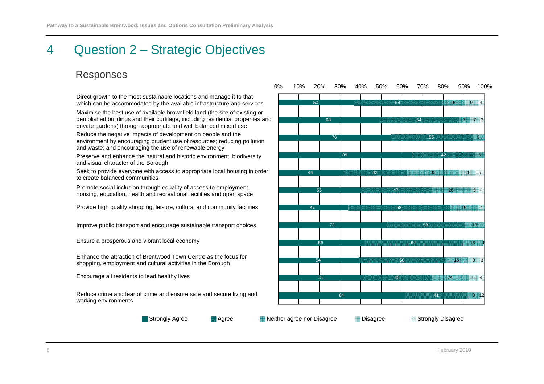# 4 Question 2 – Strategic Objectives

#### Responses

Direct growth to the most sustainable locations and manage it to that which can be accommodated by the available infrastructure and services

Maximise the best use of available brownfield land (the site of existing or demolished buildings and their curtilage, including residential properties and private gardens) through appropriate and well balanced mixed use

Reduce the negative impacts of development on people and the environment by encouraging prudent use of resources; reducing pollution and waste; and encouraging the use of renewable energy

Preserve and enhance the natural and historic environment, biodiversity and visual character of the Borough

Seek to provide everyone with access to appropriate local housing in order to create balanced communities

Promote social inclusion through equality of access to employment, housing, education, health and recreational facilities and open space

Provide high quality shopping, leisure, cultural and community facilities

Improve public transport and encourage sustainable transport choices

Ensure a prosperous and vibrant local economy

Enhance the attraction of Brentwood Town Centre as the focus for shopping, employment and cultural activities in the Borough

Encourage all residents to lead healthy lives

Reduce crime and fear of crime and ensure safe and secure living and working environments



Strongly Agree

**Agree Strongly Disagree Neither agree nor Disagree Constant Disagree Strongly Disagree**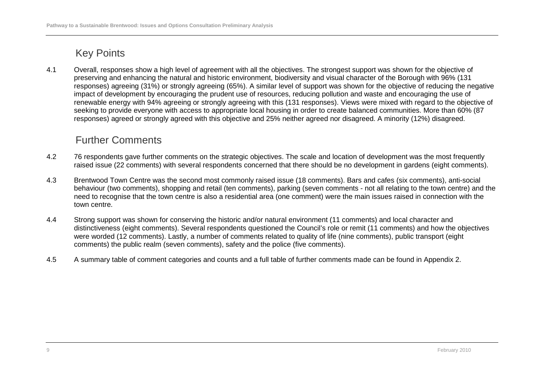4.1 Overall, responses show a high level of agreement with all the objectives. The strongest support was shown for the objective of preserving and enhancing the natural and historic environment, biodiversity and visual character of the Borough with 96% (131 responses) agreeing (31%) or strongly agreeing (65%). A similar level of support was shown for the objective of reducing the negative impact of development by encouraging the prudent use of resources, reducing pollution and waste and encouraging the use of renewable energy with 94% agreeing or strongly agreeing with this (131 responses). Views were mixed with regard to the objective of seeking to provide everyone with access to appropriate local housing in order to create balanced communities. More than 60% (87 responses) agreed or strongly agreed with this objective and 25% neither agreed nor disagreed. A minority (12%) disagreed.

- 4.2 76 respondents gave further comments on the strategic objectives. The scale and location of development was the most frequently raised issue (22 comments) with several respondents concerned that there should be no development in gardens (eight comments).
- 4.3 Brentwood Town Centre was the second most commonly raised issue (18 comments). Bars and cafes (six comments), anti-social behaviour (two comments), shopping and retail (ten comments), parking (seven comments - not all relating to the town centre) and the need to recognise that the town centre is also a residential area (one comment) were the main issues raised in connection with the town centre.
- 4.4 Strong support was shown for conserving the historic and/or natural environment (11 comments) and local character and distinctiveness (eight comments). Several respondents questioned the Council's role or remit (11 comments) and how the objectives were worded (12 comments). Lastly, a number of comments related to quality of life (nine comments), public transport (eight comments) the public realm (seven comments), safety and the police (five comments).
- 4.5 A summary table of comment categories and counts and a full table of further comments made can be found in Appendix 2.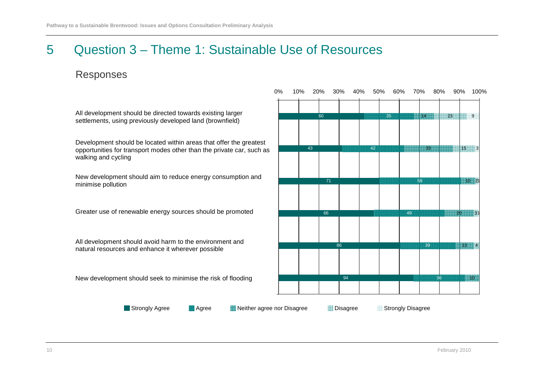## 5 Question 3 – Theme 1: Sustainable Use of Resources

#### Responses

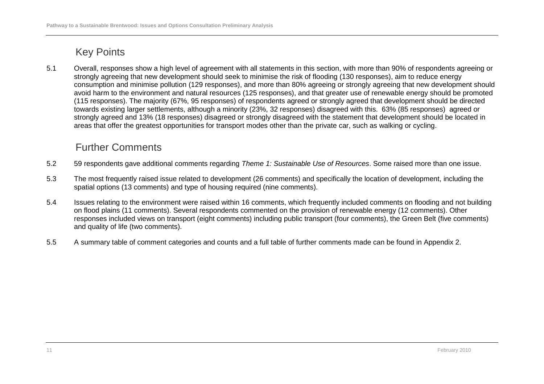5.1 Overall, responses show a high level of agreement with all statements in this section, with more than 90% of respondents agreeing or strongly agreeing that new development should seek to minimise the risk of flooding (130 responses), aim to reduce energy consumption and minimise pollution (129 responses), and more than 80% agreeing or strongly agreeing that new development should avoid harm to the environment and natural resources (125 responses), and that greater use of renewable energy should be promoted (115 responses). The majority (67%, 95 responses) of respondents agreed or strongly agreed that development should be directed towards existing larger settlements, although a minority (23%, 32 responses) disagreed with this. 63% (85 responses) agreed or strongly agreed and 13% (18 responses) disagreed or strongly disagreed with the statement that development should be located in areas that offer the greatest opportunities for transport modes other than the private car, such as walking or cycling.

- 5.2 59 respondents gave additional comments regarding Theme 1: Sustainable Use of Resources. Some raised more than one issue.
- 5.3 The most frequently raised issue related to development (26 comments) and specifically the location of development, including the spatial options (13 comments) and type of housing required (nine comments).
- 5.4 Issues relating to the environment were raised within 16 comments, which frequently included comments on flooding and not building on flood plains (11 comments). Several respondents commented on the provision of renewable energy (12 comments). Other responses included views on transport (eight comments) including public transport (four comments), the Green Belt (five comments) and quality of life (two comments).
- 5.5 A summary table of comment categories and counts and a full table of further comments made can be found in Appendix 2.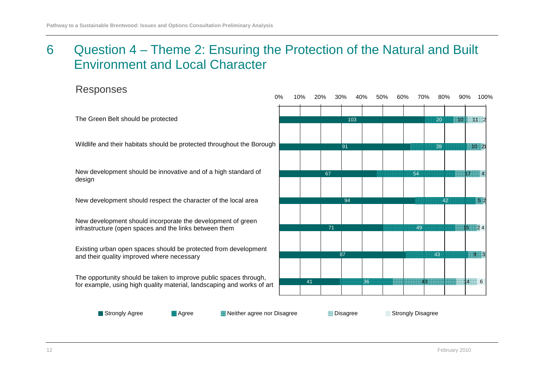# 6 Question 4 – Theme 2: Ensuring the Protection of the Natural and Built Environment and Local Character

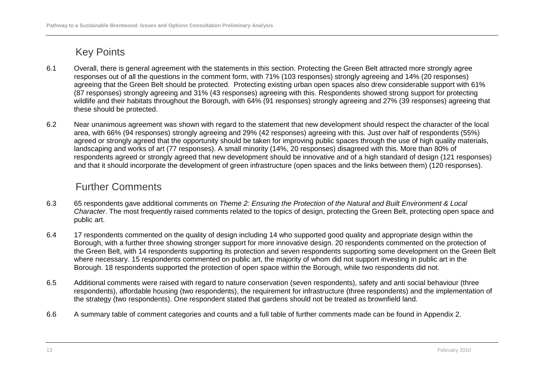- 6.1 Overall, there is general agreement with the statements in this section. Protecting the Green Belt attracted more strongly agree responses out of all the questions in the comment form, with 71% (103 responses) strongly agreeing and 14% (20 responses) agreeing that the Green Belt should be protected. Protecting existing urban open spaces also drew considerable support with 61% (87 responses) strongly agreeing and 31% (43 responses) agreeing with this. Respondents showed strong support for protecting wildlife and their habitats throughout the Borough, with 64% (91 responses) strongly agreeing and 27% (39 responses) agreeing that these should be protected.
- 6.2 Near unanimous agreement was shown with regard to the statement that new development should respect the character of the local area, with 66% (94 responses) strongly agreeing and 29% (42 responses) agreeing with this. Just over half of respondents (55%) agreed or strongly agreed that the opportunity should be taken for improving public spaces through the use of high quality materials, landscaping and works of art (77 responses). A small minority (14%, 20 responses) disagreed with this. More than 80% of respondents agreed or strongly agreed that new development should be innovative and of a high standard of design (121 responses) and that it should incorporate the development of green infrastructure (open spaces and the links between them) (120 responses).

- 6.3 65 respondents gave additional comments on Theme 2: Ensuring the Protection of the Natural and Built Environment & Local Character. The most frequently raised comments related to the topics of design, protecting the Green Belt, protecting open space and public art.
- 6.4 17 respondents commented on the quality of design including 14 who supported good quality and appropriate design within the Borough, with a further three showing stronger support for more innovative design. 20 respondents commented on the protection of the Green Belt, with 14 respondents supporting its protection and seven respondents supporting some development on the Green Belt where necessary. 15 respondents commented on public art, the majority of whom did not support investing in public art in the Borough. 18 respondents supported the protection of open space within the Borough, while two respondents did not.
- 6.5 Additional comments were raised with regard to nature conservation (seven respondents), safety and anti social behaviour (three respondents), affordable housing (two respondents), the requirement for infrastructure (three respondents) and the implementation of the strategy (two respondents). One respondent stated that gardens should not be treated as brownfield land.
- 6.6 A summary table of comment categories and counts and a full table of further comments made can be found in Appendix 2.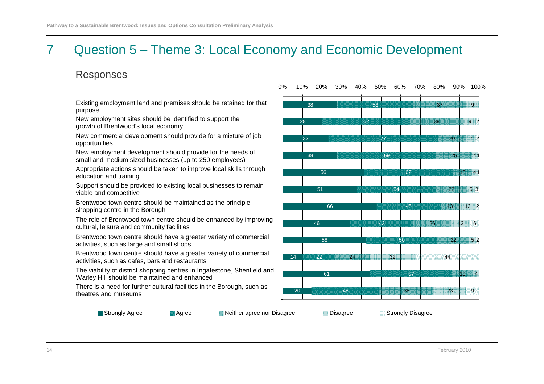# 7 Question 5 – Theme 3: Local Economy and Economic Development

#### Responses

Existing employment land and premises should be retained for that purpose

New employment sites should be identified to support the growth of Brentwood's local economy

New commercial development should provide for a mixture of job opportunities

New employment development should provide for the needs of small and medium sized businesses (up to 250 employees)

Appropriate actions should be taken to improve local skills through education and training

Support should be provided to existing local businesses to remain viable and competitive

Brentwood town centre should be maintained as the principle shopping centre in the Borough

The role of Brentwood town centre should be enhanced by improving cultural, leisure and community facilities

Brentwood town centre should have a greater variety of commercial activities, such as large and small shops

Brentwood town centre should have a greater variety of commercial activities, such as cafes, bars and restaurants

The viability of district shopping centres in Ingatestone, Shenfield and Warley Hill should be maintained and enhanced

There is a need for further cultural facilities in the Borough, such as theatres and museums



Strongly Agree

**Agree 19ther agree nor Disagree 19ther agree 19ther 20ther agree 19ther Agree 19ther agree International Prince Inc.**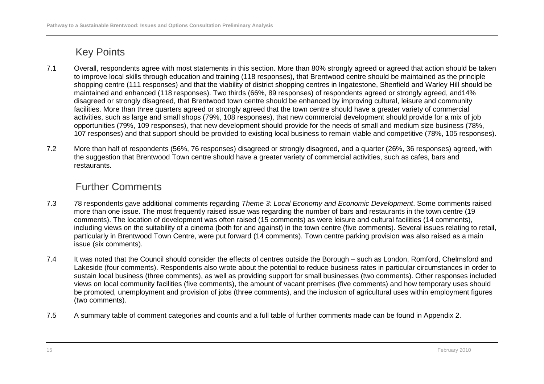- 7.1 Overall, respondents agree with most statements in this section. More than 80% strongly agreed or agreed that action should be taken to improve local skills through education and training (118 responses), that Brentwood centre should be maintained as the principle shopping centre (111 responses) and that the viability of district shopping centres in Ingatestone, Shenfield and Warley Hill should be maintained and enhanced (118 responses). Two thirds (66%, 89 responses) of respondents agreed or strongly agreed, and14% disagreed or strongly disagreed, that Brentwood town centre should be enhanced by improving cultural, leisure and community facilities. More than three quarters agreed or strongly agreed that the town centre should have a greater variety of commercial activities, such as large and small shops (79%, 108 responses), that new commercial development should provide for a mix of job opportunities (79%, 109 responses), that new development should provide for the needs of small and medium size business (78%, 107 responses) and that support should be provided to existing local business to remain viable and competitive (78%, 105 responses).
- 7.2 More than half of respondents (56%, 76 responses) disagreed or strongly disagreed, and a quarter (26%, 36 responses) agreed, with the suggestion that Brentwood Town centre should have a greater variety of commercial activities, such as cafes, bars and restaurants.

- 7.3 78 respondents gave additional comments regarding Theme 3: Local Economy and Economic Development. Some comments raised more than one issue. The most frequently raised issue was regarding the number of bars and restaurants in the town centre (19 comments). The location of development was often raised (15 comments) as were leisure and cultural facilities (14 comments), including views on the suitability of a cinema (both for and against) in the town centre (five comments). Several issues relating to retail, particularly in Brentwood Town Centre, were put forward (14 comments). Town centre parking provision was also raised as a main issue (six comments).
- 7.4 It was noted that the Council should consider the effects of centres outside the Borough such as London, Romford, Chelmsford and Lakeside (four comments). Respondents also wrote about the potential to reduce business rates in particular circumstances in order to sustain local business (three comments), as well as providing support for small businesses (two comments). Other responses included views on local community facilities (five comments), the amount of vacant premises (five comments) and how temporary uses should be promoted, unemployment and provision of jobs (three comments), and the inclusion of agricultural uses within employment figures (two comments).
- 7.5 A summary table of comment categories and counts and a full table of further comments made can be found in Appendix 2.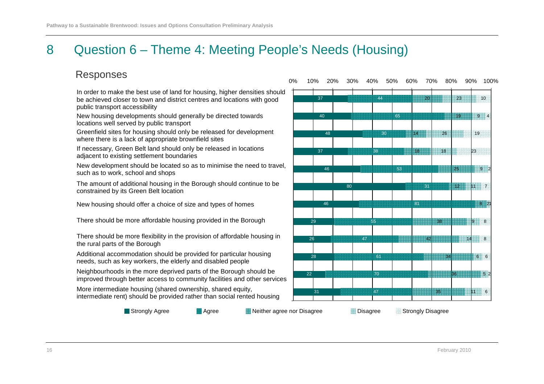# 8 Question 6 – Theme 4: Meeting People's Needs (Housing)

### Responses

In order to make the best use of land for housing, higher densities should be achieved closer to town and district centres and locations with good public transport accessibility

New housing developments should generally be directed towards locations well served by public transport

Greenfield sites for housing should only be released for development where there is a lack of appropriate brownfield sites

 If necessary, Green Belt land should only be released in locations adjacent to existing settlement boundaries

New development should be located so as to minimise the need to travel, such as to work, school and shops

The amount of additional housing in the Borough should continue to be constrained by its Green Belt location

New housing should offer a choice of size and types of homes

There should be more affordable housing provided in the Borough

There should be more flexibility in the provision of affordable housing in the rural parts of the Borough

Additional accommodation should be provided for particular housing needs, such as key workers, the elderly and disabled people

Neighbourhoods in the more deprived parts of the Borough should be improved through better access to community facilities and other services

More intermediate housing (shared ownership, shared equity, intermediate rent) should be provided rather than social rented housing

Strongly Agree

**Agree Strongly Disagree Neither agree nor Disagree Strongly Disagree Strongly Disagree** 

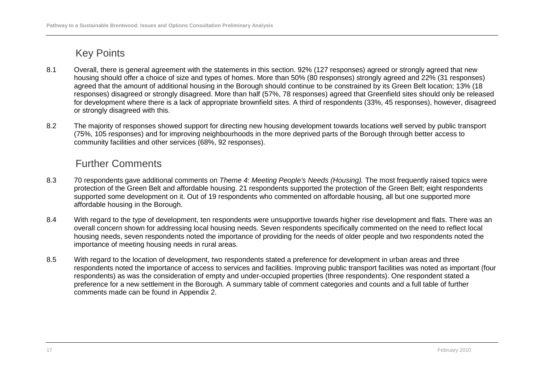- 8.1 Overall, there is general agreement with the statements in this section. 92% (127 responses) agreed or strongly agreed that new housing should offer a choice of size and types of homes. More than 50% (80 responses) strongly agreed and 22% (31 responses) agreed that the amount of additional housing in the Borough should continue to be constrained by its Green Belt location; 13% (18 responses) disagreed or strongly disagreed. More than half (57%, 78 responses) agreed that Greenfield sites should only be released for development where there is a lack of appropriate brownfield sites. A third of respondents (33%, 45 responses), however, disagreed or strongly disagreed with this.
- 8.2 The majority of responses showed support for directing new housing development towards locations well served by public transport (75%, 105 responses) and for improving neighbourhoods in the more deprived parts of the Borough through better access to community facilities and other services (68%, 92 responses).

- 8.3 70 respondents gave additional comments on Theme 4: Meeting People's Needs (Housing). The most frequently raised topics were protection of the Green Belt and affordable housing. 21 respondents supported the protection of the Green Belt; eight respondents supported some development on it. Out of 19 respondents who commented on affordable housing, all but one supported more affordable housing in the Borough.
- 8.4 With regard to the type of development, ten respondents were unsupportive towards higher rise development and flats. There was an overall concern shown for addressing local housing needs. Seven respondents specifically commented on the need to reflect local housing needs, seven respondents noted the importance of providing for the needs of older people and two respondents noted the importance of meeting housing needs in rural areas.
- 8.5 With regard to the location of development, two respondents stated a preference for development in urban areas and three respondents noted the importance of access to services and facilities. Improving public transport facilities was noted as important (four respondents) as was the consideration of empty and under-occupied properties (three respondents). One respondent stated a preference for a new settlement in the Borough. A summary table of comment categories and counts and a full table of further comments made can be found in Appendix 2.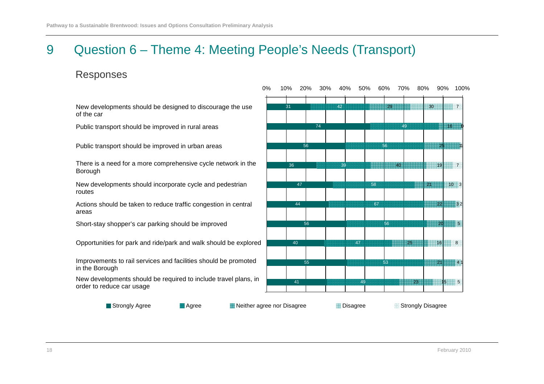# 9 Question 6 – Theme 4: Meeting People's Needs (Transport)

0%

#### Responses

New developments should be designed to discourage the use of the car

Public transport should be improved in rural areas

Public transport should be improved in urban areas

There is a need for a more comprehensive cycle network in the Borough

New developments should incorporate cycle and pedestrian routes

Actions should be taken to reduce traffic congestion in central areas

Short-stay shopper's car parking should be improved

Opportunities for park and ride/park and walk should be explored

Improvements to rail services and facilities should be promoted in the Borough

New developments should be required to include travel plans, in order to reduce car usage

31745636474456405541424956395867564753492916254021110331103 222025 212330 THE TELL 7 11932516 8 415 5 017110% 20% 30% 40% 50% 60% 70% 80% 90% 100%

Strongly Agree

**Agree 19 Neither agree nor Disagree 19 Neither agree Neither Agree Strongly Disagree** Agree Strongly Disagree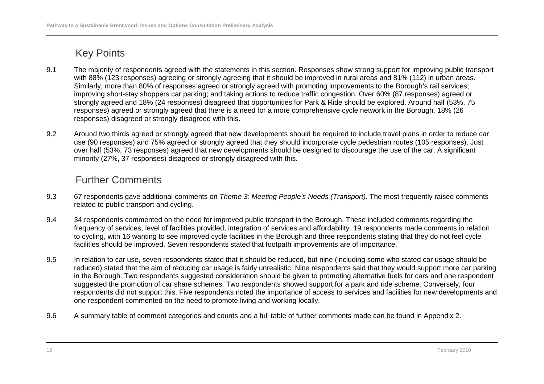- 9.1 The majority of respondents agreed with the statements in this section. Responses show strong support for improving public transport with 88% (123 responses) agreeing or strongly agreeing that it should be improved in rural areas and 81% (112) in urban areas. Similarly, more than 80% of responses agreed or strongly agreed with promoting improvements to the Borough's rail services; improving short-stay shoppers car parking; and taking actions to reduce traffic congestion. Over 60% (87 responses) agreed or strongly agreed and 18% (24 responses) disagreed that opportunities for Park & Ride should be explored. Around half (53%, 75 responses) agreed or strongly agreed that there is a need for a more comprehensive cycle network in the Borough. 18% (26 responses) disagreed or strongly disagreed with this.
- 9.2 Around two thirds agreed or strongly agreed that new developments should be required to include travel plans in order to reduce car use (90 responses) and 75% agreed or strongly agreed that they should incorporate cycle pedestrian routes (105 responses). Just over half (53%, 73 responses) agreed that new developments should be designed to discourage the use of the car. A significant minority (27%, 37 responses) disagreed or strongly disagreed with this.

- 9.3 67 respondents gave additional comments on Theme 3: Meeting People's Needs (Transport). The most frequently raised comments related to public transport and cycling.
- 9.4 34 respondents commented on the need for improved public transport in the Borough. These included comments regarding the frequency of services, level of facilities provided, integration of services and affordability. 19 respondents made comments in relation to cycling, with 16 wanting to see improved cycle facilities in the Borough and three respondents stating that they do not feel cycle facilities should be improved. Seven respondents stated that footpath improvements are of importance.
- 9.5 In relation to car use, seven respondents stated that it should be reduced, but nine (including some who stated car usage should be reduced) stated that the aim of reducing car usage is fairly unrealistic. Nine respondents said that they would support more car parking in the Borough. Two respondents suggested consideration should be given to promoting alternative fuels for cars and one respondent suggested the promotion of car share schemes. Two respondents showed support for a park and ride scheme. Conversely, four respondents did not support this. Five respondents noted the importance of access to services and facilities for new developments and one respondent commented on the need to promote living and working locally.
- 9.6 A summary table of comment categories and counts and a full table of further comments made can be found in Appendix 2.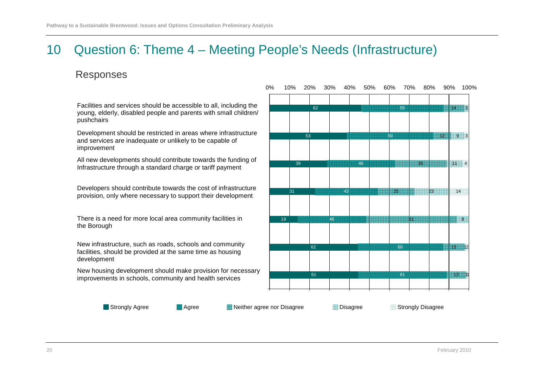# 10 Question 6: Theme 4 – Meeting People's Needs (Infrastructure)

#### Responses

Facilities and services should be accessible to all, including the young, elderly, disabled people and parents with small children/pushchairs

Development should be restricted in areas where infrastructureand services are inadequate or unlikely to be capable of improvement

All new developments should contribute towards the funding ofInfrastructure through a standard charge or tariff payment

Developers should contribute towards the cost of infrastructureprovision, only where necessary to support their development

There is a need for more local area community facilities in the Borough

New infrastructure, such as roads, schools and community facilities, should be provided at the same time as housing development

New housing development should make provision for necessaryimprovements in schools, community and health services



Strongly Agree

**Agree Strongly Disagree Neither agree nor Disagree Strongly Disagree Strongly Disagree**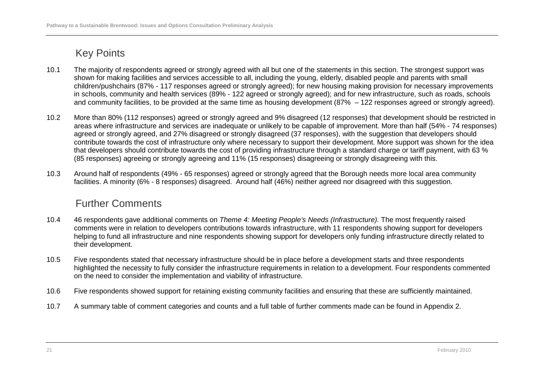- 10.1 The majority of respondents agreed or strongly agreed with all but one of the statements in this section. The strongest support was shown for making facilities and services accessible to all, including the young, elderly, disabled people and parents with small children/pushchairs (87% - 117 responses agreed or strongly agreed); for new housing making provision for necessary improvements in schools, community and health services (89% - 122 agreed or strongly agreed); and for new infrastructure, such as roads, schools and community facilities, to be provided at the same time as housing development (87% – 122 responses agreed or strongly agreed).
- 10.2 More than 80% (112 responses) agreed or strongly agreed and 9% disagreed (12 responses) that development should be restricted in areas where infrastructure and services are inadequate or unlikely to be capable of improvement. More than half (54% - 74 responses) agreed or strongly agreed, and 27% disagreed or strongly disagreed (37 responses), with the suggestion that developers should contribute towards the cost of infrastructure only where necessary to support their development. More support was shown for the idea that developers should contribute towards the cost of providing infrastructure through a standard charge or tariff payment, with 63 % (85 responses) agreeing or strongly agreeing and 11% (15 responses) disagreeing or strongly disagreeing with this.
- 10.3 Around half of respondents (49% 65 responses) agreed or strongly agreed that the Borough needs more local area community facilities. A minority (6% - 8 responses) disagreed. Around half (46%) neither agreed nor disagreed with this suggestion.

- 10.4 46 respondents gave additional comments on Theme 4: Meeting People's Needs (Infrastructure). The most frequently raised comments were in relation to developers contributions towards infrastructure, with 11 respondents showing support for developers helping to fund all infrastructure and nine respondents showing support for developers only funding infrastructure directly related to their development.
- 10.5 Five respondents stated that necessary infrastructure should be in place before a development starts and three respondents highlighted the necessity to fully consider the infrastructure requirements in relation to a development. Four respondents commented on the need to consider the implementation and viability of infrastructure.
- 10.6 Five respondents showed support for retaining existing community facilities and ensuring that these are sufficiently maintained.
- 10.7 A summary table of comment categories and counts and a full table of further comments made can be found in Appendix 2.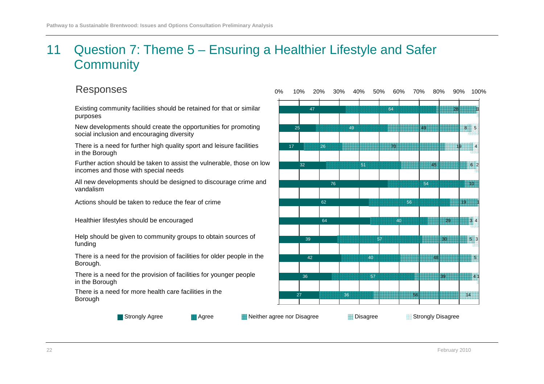# 11 Question 7: Theme 5 – Ensuring a Healthier Lifestyle and Safer **Community**

#### Responses

Existing community facilities should be retained for that or similar purposes

New developments should create the opportunities for promoting social inclusion and encouraging diversity

There is a need for further high quality sport and leisure facilities in the Borough

Further action should be taken to assist the vulnerable, those on low incomes and those with special needs

All new developments should be designed to discourage crime and vandalism

Actions should be taken to reduce the fear of crime

Healthier lifestyles should be encouraged

Help should be given to community groups to obtain sources of funding

There is a need for the provision of facilities for older people in the Borough.

There is a need for the provision of facilities for younger people in the Borough

There is a need for more health care facilities in the Borough



Strongly Agree

**Agree Strongly Disagree Neither agree nor Disagree Communist Communist Communist Communist Communist Communist Communist Communist Communist Communist Communist Communist Communist Communist Communist Communist Communist**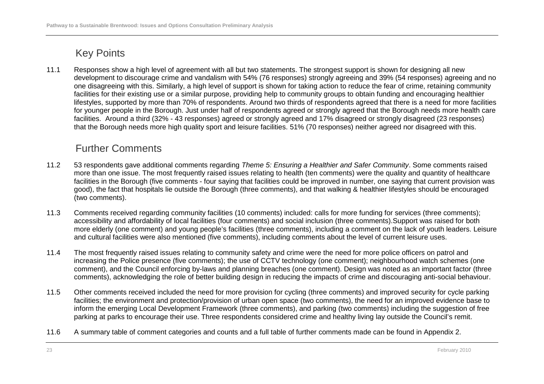11.1 Responses show a high level of agreement with all but two statements. The strongest support is shown for designing all new development to discourage crime and vandalism with 54% (76 responses) strongly agreeing and 39% (54 responses) agreeing and no one disagreeing with this. Similarly, a high level of support is shown for taking action to reduce the fear of crime, retaining community facilities for their existing use or a similar purpose, providing help to community groups to obtain funding and encouraging healthier lifestyles, supported by more than 70% of respondents. Around two thirds of respondents agreed that there is a need for more facilities for younger people in the Borough. Just under half of respondents agreed or strongly agreed that the Borough needs more health care facilities. Around a third (32% - 43 responses) agreed or strongly agreed and 17% disagreed or strongly disagreed (23 responses) that the Borough needs more high quality sport and leisure facilities. 51% (70 responses) neither agreed nor disagreed with this.

- 11.2 53 respondents gave additional comments regarding Theme 5: Ensuring a Healthier and Safer Community. Some comments raised more than one issue. The most frequently raised issues relating to health (ten comments) were the quality and quantity of healthcare facilities in the Borough (five comments - four saying that facilities could be improved in number, one saying that current provision was good), the fact that hospitals lie outside the Borough (three comments), and that walking & healthier lifestyles should be encouraged (two comments).
- 11.3 Comments received regarding community facilities (10 comments) included: calls for more funding for services (three comments); accessibility and affordability of local facilities (four comments) and social inclusion (three comments).Support was raised for both more elderly (one comment) and young people's facilities (three comments), including a comment on the lack of youth leaders. Leisure and cultural facilities were also mentioned (five comments), including comments about the level of current leisure uses.
- 11.4 The most frequently raised issues relating to community safety and crime were the need for more police officers on patrol and increasing the Police presence (five comments); the use of CCTV technology (one comment); neighbourhood watch schemes (one comment), and the Council enforcing by-laws and planning breaches (one comment). Design was noted as an important factor (three comments), acknowledging the role of better building design in reducing the impacts of crime and discouraging anti-social behaviour.
- 11.5 Other comments received included the need for more provision for cycling (three comments) and improved security for cycle parking facilities; the environment and protection/provision of urban open space (two comments), the need for an improved evidence base to inform the emerging Local Development Framework (three comments), and parking (two comments) including the suggestion of free parking at parks to encourage their use. Three respondents considered crime and healthy living lay outside the Council's remit.
- 11.6 A summary table of comment categories and counts and a full table of further comments made can be found in Appendix 2.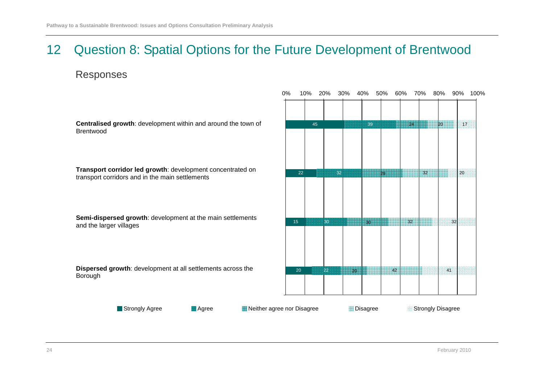# 12 Question 8: Spatial Options for the Future Development of Brentwood

#### Responses

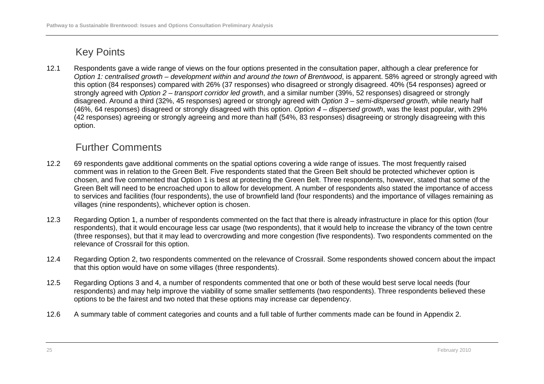12.1 Respondents gave a wide range of views on the four options presented in the consultation paper, although a clear preference for Option 1: centralised growth – development within and around the town of Brentwood, is apparent. 58% agreed or strongly agreed with this option (84 responses) compared with 26% (37 responses) who disagreed or strongly disagreed. 40% (54 responses) agreed or strongly agreed with Option 2 – transport corridor led growth, and a similar number (39%, 52 responses) disagreed or strongly disagreed. Around a third (32%, 45 responses) agreed or strongly agreed with Option 3 – semi-dispersed growth, while nearly half (46%, 64 responses) disagreed or strongly disagreed with this option. Option 4 – dispersed growth, was the least popular, with 29% (42 responses) agreeing or strongly agreeing and more than half (54%, 83 responses) disagreeing or strongly disagreeing with this option.

- 12.2 69 respondents gave additional comments on the spatial options covering a wide range of issues. The most frequently raised comment was in relation to the Green Belt. Five respondents stated that the Green Belt should be protected whichever option is chosen, and five commented that Option 1 is best at protecting the Green Belt. Three respondents, however, stated that some of the Green Belt will need to be encroached upon to allow for development. A number of respondents also stated the importance of access to services and facilities (four respondents), the use of brownfield land (four respondents) and the importance of villages remaining as villages (nine respondents), whichever option is chosen.
- 12.3 Regarding Option 1, a number of respondents commented on the fact that there is already infrastructure in place for this option (four respondents), that it would encourage less car usage (two respondents), that it would help to increase the vibrancy of the town centre (three responses), but that it may lead to overcrowding and more congestion (five respondents). Two respondents commented on the relevance of Crossrail for this option.
- 12.4 Regarding Option 2, two respondents commented on the relevance of Crossrail. Some respondents showed concern about the impact that this option would have on some villages (three respondents).
- 12.5 Regarding Options 3 and 4, a number of respondents commented that one or both of these would best serve local needs (four respondents) and may help improve the viability of some smaller settlements (two respondents). Three respondents believed these options to be the fairest and two noted that these options may increase car dependency.
- 12.6 A summary table of comment categories and counts and a full table of further comments made can be found in Appendix 2.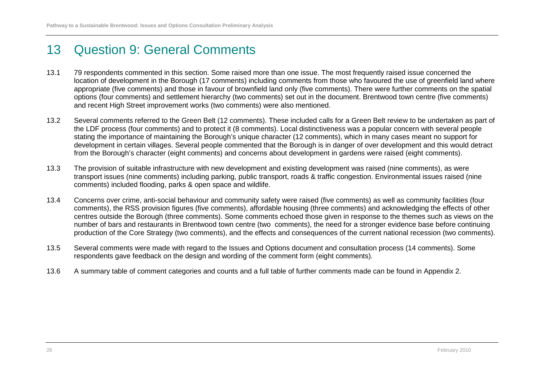# 13 Question 9: General Comments

- 13.1 79 respondents commented in this section. Some raised more than one issue. The most frequently raised issue concerned the location of development in the Borough (17 comments) including comments from those who favoured the use of greenfield land where appropriate (five comments) and those in favour of brownfield land only (five comments). There were further comments on the spatial options (four comments) and settlement hierarchy (two comments) set out in the document. Brentwood town centre (five comments) and recent High Street improvement works (two comments) were also mentioned.
- 13.2 Several comments referred to the Green Belt (12 comments). These included calls for a Green Belt review to be undertaken as part of the LDF process (four comments) and to protect it (8 comments). Local distinctiveness was a popular concern with several people stating the importance of maintaining the Borough's unique character (12 comments), which in many cases meant no support for development in certain villages. Several people commented that the Borough is in danger of over development and this would detract from the Borough's character (eight comments) and concerns about development in gardens were raised (eight comments).
- 13.3 The provision of suitable infrastructure with new development and existing development was raised (nine comments), as were transport issues (nine comments) including parking, public transport, roads & traffic congestion. Environmental issues raised (nine comments) included flooding, parks & open space and wildlife.
- 13.4 Concerns over crime, anti-social behaviour and community safety were raised (five comments) as well as community facilities (four comments), the RSS provision figures (five comments), affordable housing (three comments) and acknowledging the effects of other centres outside the Borough (three comments). Some comments echoed those given in response to the themes such as views on the number of bars and restaurants in Brentwood town centre (two comments), the need for a stronger evidence base before continuing production of the Core Strategy (two comments), and the effects and consequences of the current national recession (two comments).
- 13.5 Several comments were made with regard to the Issues and Options document and consultation process (14 comments). Some respondents gave feedback on the design and wording of the comment form (eight comments).
- 13.6 A summary table of comment categories and counts and a full table of further comments made can be found in Appendix 2.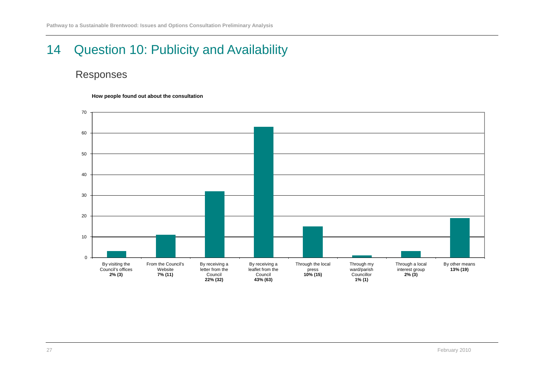# 14 Question 10: Publicity and Availability

### Responses

**How people found out about the consultation**

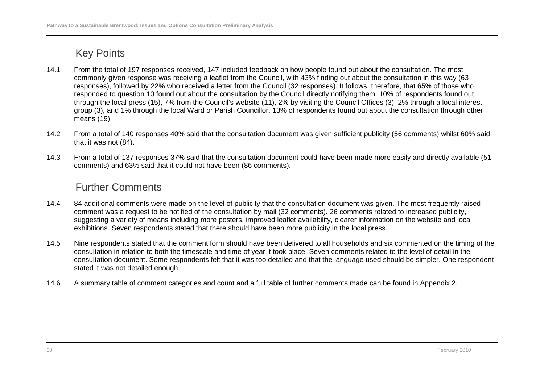- 14.1 From the total of 197 responses received, 147 included feedback on how people found out about the consultation. The most commonly given response was receiving a leaflet from the Council, with 43% finding out about the consultation in this way (63 responses), followed by 22% who received a letter from the Council (32 responses). It follows, therefore, that 65% of those who responded to question 10 found out about the consultation by the Council directly notifying them. 10% of respondents found out through the local press (15), 7% from the Council's website (11), 2% by visiting the Council Offices (3), 2% through a local interest group (3), and 1% through the local Ward or Parish Councillor. 13% of respondents found out about the consultation through other means (19).
- 14.2 From a total of 140 responses 40% said that the consultation document was given sufficient publicity (56 comments) whilst 60% said that it was not (84).
- 14.3 From a total of 137 responses 37% said that the consultation document could have been made more easily and directly available (51 comments) and 63% said that it could not have been (86 comments).

- 14.4 84 additional comments were made on the level of publicity that the consultation document was given. The most frequently raised comment was a request to be notified of the consultation by mail (32 comments). 26 comments related to increased publicity, suggesting a variety of means including more posters, improved leaflet availability, clearer information on the website and local exhibitions. Seven respondents stated that there should have been more publicity in the local press.
- 14.5 Nine respondents stated that the comment form should have been delivered to all households and six commented on the timing of the consultation in relation to both the timescale and time of year it took place. Seven comments related to the level of detail in the consultation document. Some respondents felt that it was too detailed and that the language used should be simpler. One respondent stated it was not detailed enough.
- 14.6 A summary table of comment categories and count and a full table of further comments made can be found in Appendix 2.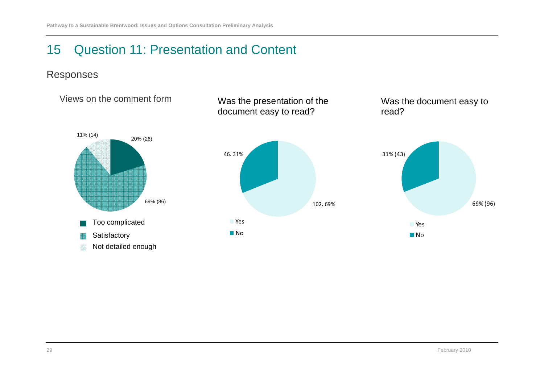# 15 Question 11: Presentation and Content

### Responses

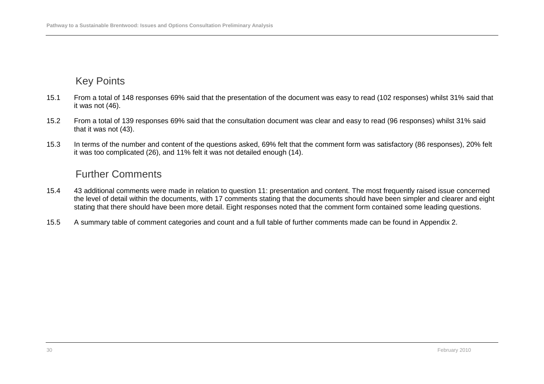- 15.1 From a total of 148 responses 69% said that the presentation of the document was easy to read (102 responses) whilst 31% said that it was not (46).
- 15.2 From a total of 139 responses 69% said that the consultation document was clear and easy to read (96 responses) whilst 31% said that it was not (43).
- 15.3 In terms of the number and content of the questions asked, 69% felt that the comment form was satisfactory (86 responses), 20% felt it was too complicated (26), and 11% felt it was not detailed enough (14).

- 15.4 43 additional comments were made in relation to question 11: presentation and content. The most frequently raised issue concerned the level of detail within the documents, with 17 comments stating that the documents should have been simpler and clearer and eight stating that there should have been more detail. Eight responses noted that the comment form contained some leading questions.
- 15.5 A summary table of comment categories and count and a full table of further comments made can be found in Appendix 2.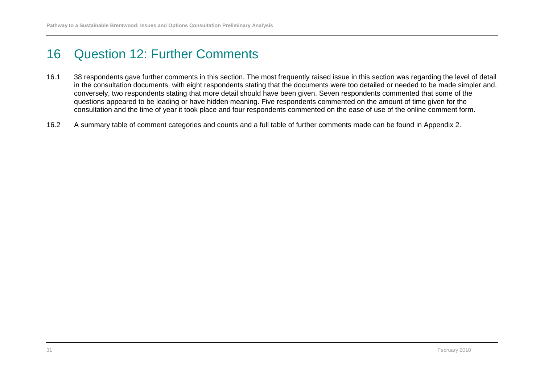# 16 Question 12: Further Comments

- 16.1 38 respondents gave further comments in this section. The most frequently raised issue in this section was regarding the level of detail in the consultation documents, with eight respondents stating that the documents were too detailed or needed to be made simpler and, conversely, two respondents stating that more detail should have been given. Seven respondents commented that some of the questions appeared to be leading or have hidden meaning. Five respondents commented on the amount of time given for the consultation and the time of year it took place and four respondents commented on the ease of use of the online comment form.
- 16.2 A summary table of comment categories and counts and a full table of further comments made can be found in Appendix 2.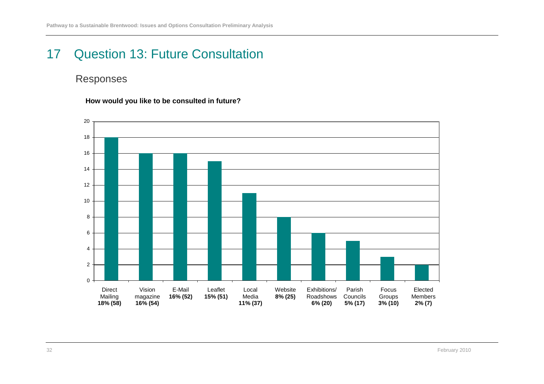# 17 Question 13: Future Consultation

### Responses

**How would you like to be consulted in future?**

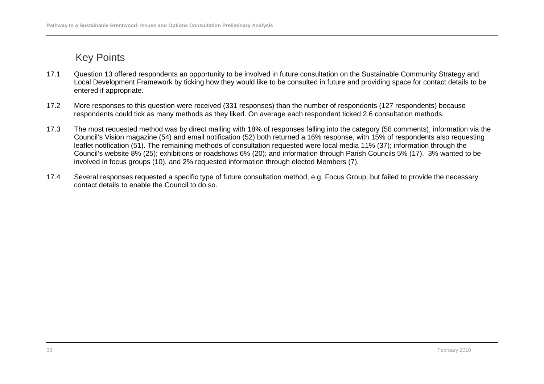- 17.1 Question 13 offered respondents an opportunity to be involved in future consultation on the Sustainable Community Strategy and Local Development Framework by ticking how they would like to be consulted in future and providing space for contact details to be entered if appropriate.
- 17.2 More responses to this question were received (331 responses) than the number of respondents (127 respondents) because respondents could tick as many methods as they liked. On average each respondent ticked 2.6 consultation methods.
- 17.3 The most requested method was by direct mailing with 18% of responses falling into the category (58 comments), information via the Council's Vision magazine (54) and email notification (52) both returned a 16% response, with 15% of respondents also requesting leaflet notification (51). The remaining methods of consultation requested were local media 11% (37); information through the Council's website 8% (25); exhibitions or roadshows 6% (20); and information through Parish Councils 5% (17). 3% wanted to be involved in focus groups (10), and 2% requested information through elected Members (7).
- 17.4 Several responses requested a specific type of future consultation method, e.g. Focus Group, but failed to provide the necessary contact details to enable the Council to do so.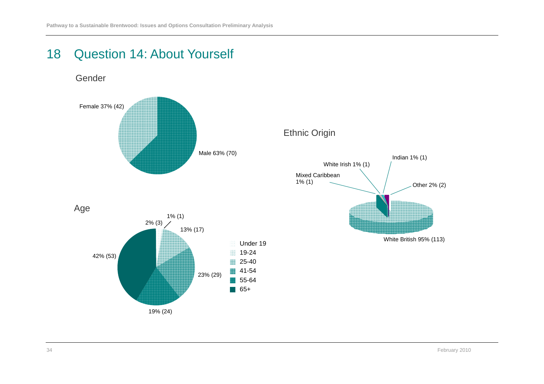# 18 Question 14: About Yourself







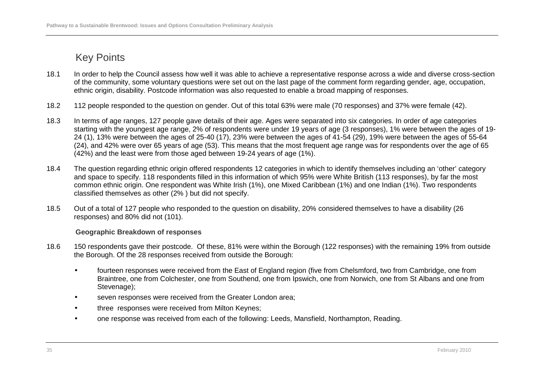- 18.1 In order to help the Council assess how well it was able to achieve a representative response across a wide and diverse cross-section of the community, some voluntary questions were set out on the last page of the comment form regarding gender, age, occupation, ethnic origin, disability. Postcode information was also requested to enable a broad mapping of responses.
- 18.2 112 people responded to the question on gender. Out of this total 63% were male (70 responses) and 37% were female (42).
- 18.3 In terms of age ranges, 127 people gave details of their age. Ages were separated into six categories. In order of age categories starting with the youngest age range, 2% of respondents were under 19 years of age (3 responses), 1% were between the ages of 19-24 (1), 13% were between the ages of 25-40 (17), 23% were between the ages of 41-54 (29), 19% were between the ages of 55-64 (24), and 42% were over 65 years of age (53). This means that the most frequent age range was for respondents over the age of 65 (42%) and the least were from those aged between 19-24 years of age (1%).
- 18.4 The question regarding ethnic origin offered respondents 12 categories in which to identify themselves including an 'other' category and space to specify. 118 respondents filled in this information of which 95% were White British (113 responses), by far the most common ethnic origin. One respondent was White Irish (1%), one Mixed Caribbean (1%) and one Indian (1%). Two respondents classified themselves as other (2% ) but did not specify.
- 18.5 Out of a total of 127 people who responded to the question on disability, 20% considered themselves to have a disability (26 responses) and 80% did not (101).

#### **Geographic Breakdown of responses**

- 18.6 150 respondents gave their postcode. Of these, 81% were within the Borough (122 responses) with the remaining 19% from outside the Borough. Of the 28 responses received from outside the Borough:
	- fourteen responses were received from the East of England region (five from Chelsmford, two from Cambridge, one from Braintree, one from Colchester, one from Southend, one from Ipswich, one from Norwich, one from St Albans and one from Stevenage);
	- seven responses were received from the Greater London area;
	- three responses were received from Milton Keynes;
	- one response was received from each of the following: Leeds, Mansfield, Northampton, Reading.